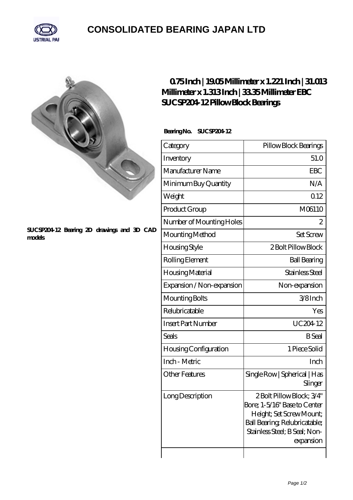

## **[CONSOLIDATED BEARING JAPAN LTD](https://m.psp11.de)**



## **[SUCSP204-12 Bearing 2D drawings and 3D CAD](https://m.psp11.de/pic-213898.html) [models](https://m.psp11.de/pic-213898.html)**

## **[0.75 Inch | 19.05 Millimeter x 1.221 Inch | 31.013](https://m.psp11.de/bz-213898-ebc-sucsp204-12-pillow-block-bearings.html) [Millimeter x 1.313 Inch | 33.35 Millimeter EBC](https://m.psp11.de/bz-213898-ebc-sucsp204-12-pillow-block-bearings.html) [SUCSP204-12 Pillow Block Bearings](https://m.psp11.de/bz-213898-ebc-sucsp204-12-pillow-block-bearings.html)**

Bearing No. SUCSP204 12

| Category                  | Pillow Block Bearings                                                                                                                                               |
|---------------------------|---------------------------------------------------------------------------------------------------------------------------------------------------------------------|
| Inventory                 | 51.0                                                                                                                                                                |
| Manufacturer Name         | <b>EBC</b>                                                                                                                                                          |
| Minimum Buy Quantity      | N/A                                                                                                                                                                 |
| Weight                    | 012                                                                                                                                                                 |
| Product Group             | M06110                                                                                                                                                              |
| Number of Mounting Holes  | 2                                                                                                                                                                   |
| Mounting Method           | <b>Set Screw</b>                                                                                                                                                    |
| Housing Style             | 2 Bolt Pillow Block                                                                                                                                                 |
| Rolling Element           | <b>Ball Bearing</b>                                                                                                                                                 |
| Housing Material          | Stainless Steel                                                                                                                                                     |
| Expansion / Non-expansion | Non-expansion                                                                                                                                                       |
| Mounting Bolts            | 3/8Inch                                                                                                                                                             |
| Relubricatable            | Yes                                                                                                                                                                 |
| <b>Insert Part Number</b> | UC20412                                                                                                                                                             |
| Seals                     | <b>B</b> Seal                                                                                                                                                       |
| Housing Configuration     | 1 Piece Solid                                                                                                                                                       |
| Inch - Metric             | Inch                                                                                                                                                                |
| <b>Other Features</b>     | Single Row   Spherical   Has<br>Slinger                                                                                                                             |
| Long Description          | 2Bolt Pillow Block; 3/4"<br>Bore; 1-5/16" Base to Center<br>Height; Set Screw Mount;<br>Ball Bearing, Relubricatable;<br>Stainless Steel; B Seal; Non-<br>expansion |
|                           |                                                                                                                                                                     |